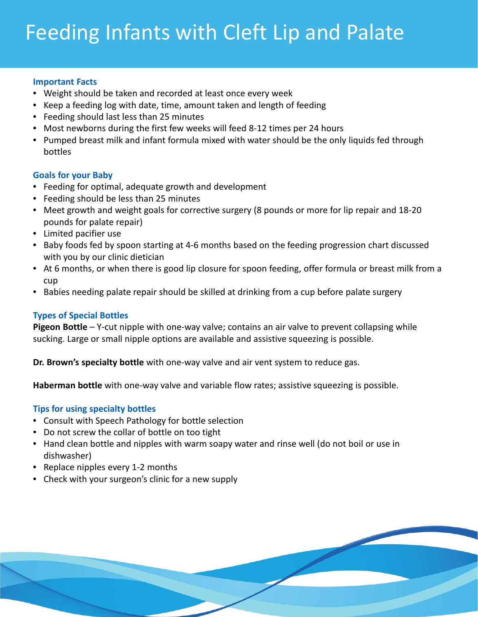# Feeding Infants with Cleft Lip and Palate

#### **Important Facts**

- Weight should be taken and recorded at least once every week
- Keep a feeding log with date, time, amount taken and length of feeding
- Feeding should last less than 25 minutes
- Most newborns during the first few weeks will feed 8-12 times per 24 hours
- Pumped breast milk and infant formula mixed with water should be the only liquids fed through bottles

## **Goals for your Baby**

- Feeding for optimal, adequate growth and development
- Feeding should be less than 25 minutes
- Meet growth and weight goals for corrective surgery (8 pounds or more for lip repair and 18-20 pounds for palate repair)
- Limited pacifier use
- Baby foods fed by spoon starting at 4-6 months based on the feeding progression chart discussed with you by our clinic dietician
- At 6 months, or when there is good lip closure for spoon feeding, offer formula or breast milk from a cup
- Babies needing palate repair should be skilled at drinking from a cup before palate surgery

# **Types of Special Bottles**

**Pigeon Bottle** – Y-cut nipple with one-way valve; contains an air valve to prevent collapsing while sucking. Large or small nipple options are available and assistive squeezing is possible.

**Dr. Brown's specialty bottle** with one-way valve and air vent system to reduce gas.

**Haberman bottle** with one-way valve and variable flow rates; assistive squeezing is possible.

## **Tips for using specialty bottles**

- Consult with Speech Pathology for bottle selection
- Do not screw the collar of bottle on too tight
- Hand clean bottle and nipples with warm soapy water and rinse well (do not boil or use in dishwasher)
- Replace nipples every 1-2 months
- Check with your surgeon's clinic for a new supply